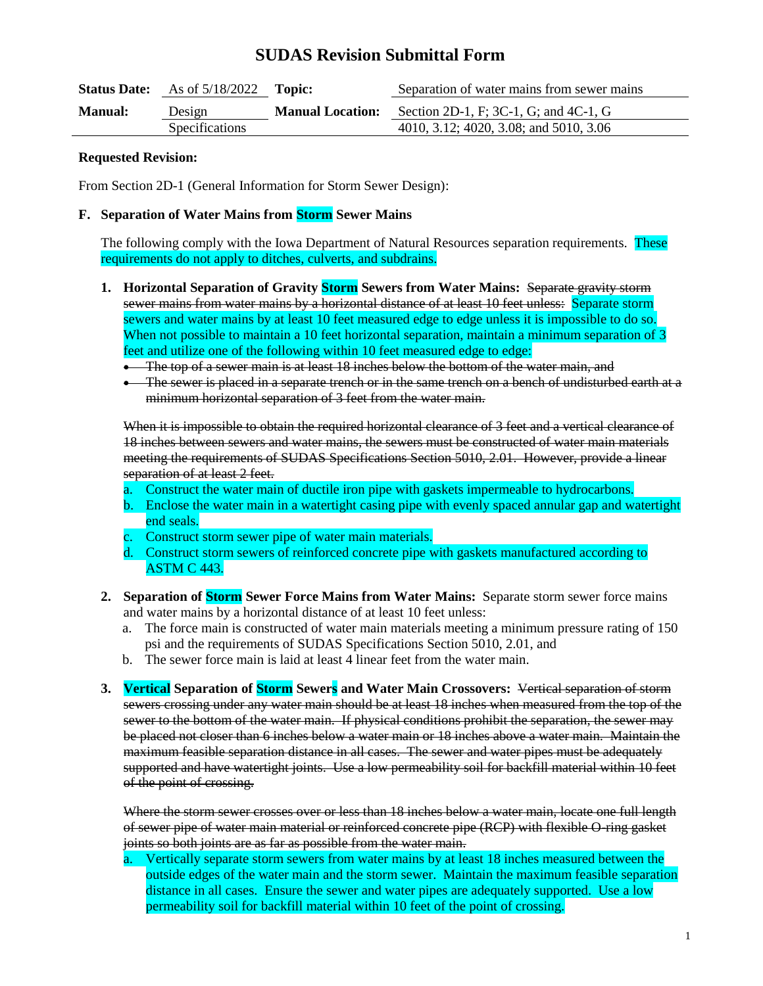# **SUDAS Revision Submittal Form**

|                | <b>Status Date:</b> As of $5/18/2022$ Topic: |                         | Separation of water mains from sewer mains |  |  |
|----------------|----------------------------------------------|-------------------------|--------------------------------------------|--|--|
| <b>Manual:</b> | Design                                       | <b>Manual Location:</b> | Section 2D-1, F; 3C-1, G; and 4C-1, G      |  |  |
|                | <b>Specifications</b>                        |                         | 4010, 3.12; 4020, 3.08; and 5010, 3.06     |  |  |

#### **Requested Revision:**

From Section 2D-1 (General Information for Storm Sewer Design):

### **F. Separation of Water Mains from Storm Sewer Mains**

The following comply with the Iowa Department of Natural Resources separation requirements. These requirements do not apply to ditches, culverts, and subdrains.

- **1. Horizontal Separation of Gravity Storm Sewers from Water Mains:** Separate gravity storm sewer mains from water mains by a horizontal distance of at least 10 feet unless: Separate storm sewers and water mains by at least 10 feet measured edge to edge unless it is impossible to do so. When not possible to maintain a 10 feet horizontal separation, maintain a minimum separation of 3 feet and utilize one of the following within 10 feet measured edge to edge:
	- The top of a sewer main is at least 18 inches below the bottom of the water main, and
	- The sewer is placed in a separate trench or in the same trench on a bench of undisturbed earth at a minimum horizontal separation of 3 feet from the water main.

When it is impossible to obtain the required horizontal clearance of 3 feet and a vertical clearance of 18 inches between sewers and water mains, the sewers must be constructed of water main materials meeting the requirements of SUDAS Specifications Section 5010, 2.01. However, provide a linear separation of at least 2 feet.

- a. Construct the water main of ductile iron pipe with gaskets impermeable to hydrocarbons.
- b. Enclose the water main in a watertight casing pipe with evenly spaced annular gap and watertight end seals.
- c. Construct storm sewer pipe of water main materials.
- d. Construct storm sewers of reinforced concrete pipe with gaskets manufactured according to ASTM C 443.
- **2. Separation of Storm Sewer Force Mains from Water Mains:** Separate storm sewer force mains and water mains by a horizontal distance of at least 10 feet unless:
	- a. The force main is constructed of water main materials meeting a minimum pressure rating of 150 psi and the requirements of SUDAS Specifications Section 5010, 2.01, and
	- b. The sewer force main is laid at least 4 linear feet from the water main.
- **3. Vertical Separation of Storm Sewers and Water Main Crossovers:** Vertical separation of storm sewers crossing under any water main should be at least 18 inches when measured from the top of the sewer to the bottom of the water main. If physical conditions prohibit the separation, the sewer may be placed not closer than 6 inches below a water main or 18 inches above a water main. Maintain the maximum feasible separation distance in all cases. The sewer and water pipes must be adequately supported and have watertight joints. Use a low permeability soil for backfill material within 10 feet of the point of crossing.

Where the storm sewer crosses over or less than 18 inches below a water main, locate one full length of sewer pipe of water main material or reinforced concrete pipe (RCP) with flexible O-ring gasket joints so both joints are as far as possible from the water main.

a. Vertically separate storm sewers from water mains by at least 18 inches measured between the outside edges of the water main and the storm sewer. Maintain the maximum feasible separation distance in all cases. Ensure the sewer and water pipes are adequately supported. Use a low permeability soil for backfill material within 10 feet of the point of crossing.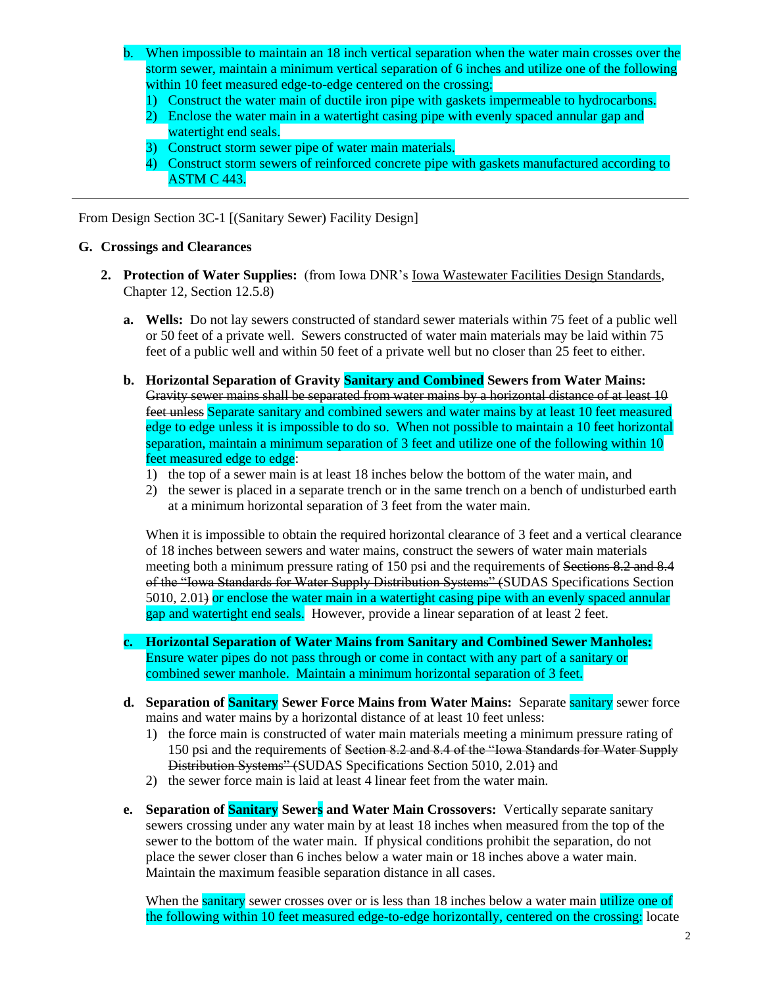- b. When impossible to maintain an 18 inch vertical separation when the water main crosses over the storm sewer, maintain a minimum vertical separation of 6 inches and utilize one of the following within 10 feet measured edge-to-edge centered on the crossing:
	- 1) Construct the water main of ductile iron pipe with gaskets impermeable to hydrocarbons.
	- 2) Enclose the water main in a watertight casing pipe with evenly spaced annular gap and watertight end seals.
	- 3) Construct storm sewer pipe of water main materials.
	- 4) Construct storm sewers of reinforced concrete pipe with gaskets manufactured according to ASTM C 443.

From Design Section 3C-1 [(Sanitary Sewer) Facility Design]

#### **G. Crossings and Clearances**

- **2. Protection of Water Supplies:** (from Iowa DNR's Iowa Wastewater Facilities Design Standards, Chapter 12, Section 12.5.8)
	- **a. Wells:** Do not lay sewers constructed of standard sewer materials within 75 feet of a public well or 50 feet of a private well. Sewers constructed of water main materials may be laid within 75 feet of a public well and within 50 feet of a private well but no closer than 25 feet to either.
	- **b. Horizontal Separation of Gravity Sanitary and Combined Sewers from Water Mains:** Gravity sewer mains shall be separated from water mains by a horizontal distance of at least 10 feet unless Separate sanitary and combined sewers and water mains by at least 10 feet measured edge to edge unless it is impossible to do so. When not possible to maintain a 10 feet horizontal separation, maintain a minimum separation of 3 feet and utilize one of the following within 10 feet measured edge to edge:
		- 1) the top of a sewer main is at least 18 inches below the bottom of the water main, and
		- 2) the sewer is placed in a separate trench or in the same trench on a bench of undisturbed earth at a minimum horizontal separation of 3 feet from the water main.

When it is impossible to obtain the required horizontal clearance of 3 feet and a vertical clearance of 18 inches between sewers and water mains, construct the sewers of water main materials meeting both a minimum pressure rating of 150 psi and the requirements of Sections 8.2 and 8.4 of the "Iowa Standards for Water Supply Distribution Systems" (SUDAS Specifications Section 5010, 2.01) or enclose the water main in a watertight casing pipe with an evenly spaced annular gap and watertight end seals. However, provide a linear separation of at least 2 feet.

- **c. Horizontal Separation of Water Mains from Sanitary and Combined Sewer Manholes:** Ensure water pipes do not pass through or come in contact with any part of a sanitary or combined sewer manhole. Maintain a minimum horizontal separation of 3 feet.
- **d. Separation of Sanitary Sewer Force Mains from Water Mains:** Separate sanitary sewer force mains and water mains by a horizontal distance of at least 10 feet unless:
	- 1) the force main is constructed of water main materials meeting a minimum pressure rating of 150 psi and the requirements of Section 8.2 and 8.4 of the "Iowa Standards for Water Supply" Distribution Systems" (SUDAS Specifications Section 5010, 2.01) and
	- 2) the sewer force main is laid at least 4 linear feet from the water main.
- **e. Separation of Sanitary Sewers and Water Main Crossovers:** Vertically separate sanitary sewers crossing under any water main by at least 18 inches when measured from the top of the sewer to the bottom of the water main. If physical conditions prohibit the separation, do not place the sewer closer than 6 inches below a water main or 18 inches above a water main. Maintain the maximum feasible separation distance in all cases.

When the sanitary sewer crosses over or is less than 18 inches below a water main utilize one of the following within 10 feet measured edge-to-edge horizontally, centered on the crossing: locate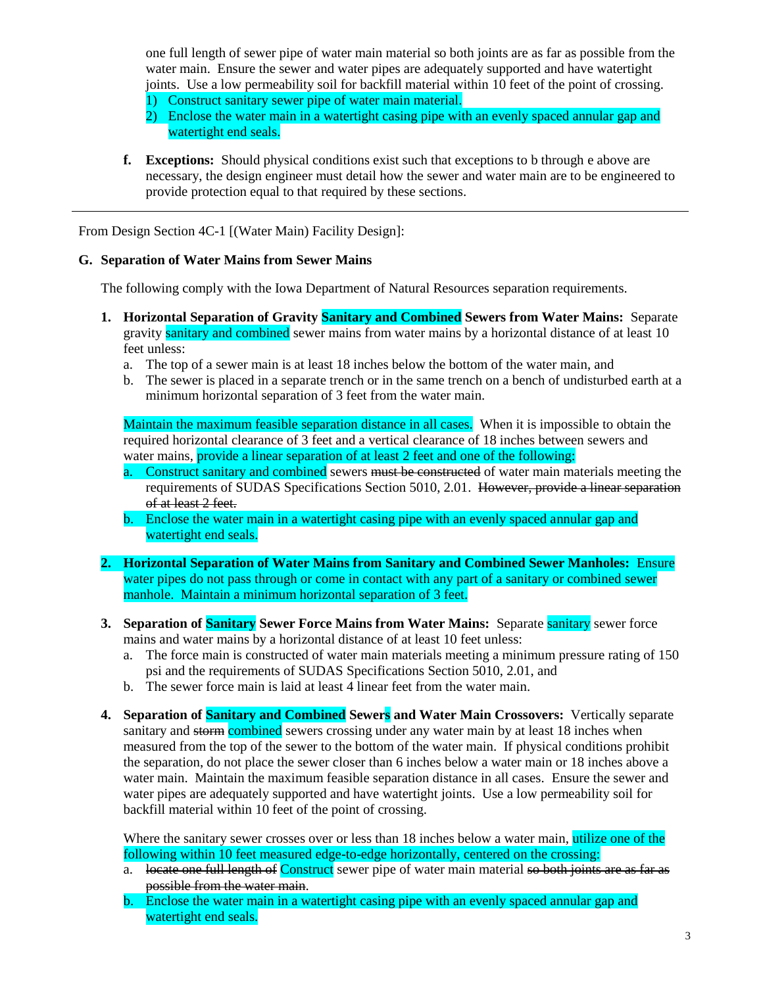one full length of sewer pipe of water main material so both joints are as far as possible from the water main. Ensure the sewer and water pipes are adequately supported and have watertight joints. Use a low permeability soil for backfill material within 10 feet of the point of crossing.

- 1) Construct sanitary sewer pipe of water main material.
- 2) Enclose the water main in a watertight casing pipe with an evenly spaced annular gap and watertight end seals.
- **f. Exceptions:** Should physical conditions exist such that exceptions to b through e above are necessary, the design engineer must detail how the sewer and water main are to be engineered to provide protection equal to that required by these sections.

From Design Section 4C-1 [(Water Main) Facility Design]:

## **G. Separation of Water Mains from Sewer Mains**

The following comply with the Iowa Department of Natural Resources separation requirements.

- **1. Horizontal Separation of Gravity Sanitary and Combined Sewers from Water Mains:** Separate gravity sanitary and combined sewer mains from water mains by a horizontal distance of at least 10 feet unless:
	- a. The top of a sewer main is at least 18 inches below the bottom of the water main, and
	- b. The sewer is placed in a separate trench or in the same trench on a bench of undisturbed earth at a minimum horizontal separation of 3 feet from the water main.

Maintain the maximum feasible separation distance in all cases. When it is impossible to obtain the required horizontal clearance of 3 feet and a vertical clearance of 18 inches between sewers and water mains, provide a linear separation of at least 2 feet and one of the following:

- a. Construct sanitary and combined sewers must be constructed of water main materials meeting the requirements of SUDAS Specifications Section 5010, 2.01. However, provide a linear separation of at least 2 feet.
- b. Enclose the water main in a watertight casing pipe with an evenly spaced annular gap and watertight end seals.
- **2. Horizontal Separation of Water Mains from Sanitary and Combined Sewer Manholes:** Ensure water pipes do not pass through or come in contact with any part of a sanitary or combined sewer manhole. Maintain a minimum horizontal separation of 3 feet.
- **3. Separation of Sanitary Sewer Force Mains from Water Mains:** Separate **sanitary** sewer force mains and water mains by a horizontal distance of at least 10 feet unless:
	- a. The force main is constructed of water main materials meeting a minimum pressure rating of 150 psi and the requirements of SUDAS Specifications Section 5010, 2.01, and
	- b. The sewer force main is laid at least 4 linear feet from the water main.
- **4. Separation of Sanitary and Combined Sewers and Water Main Crossovers:** Vertically separate sanitary and storm combined sewers crossing under any water main by at least 18 inches when measured from the top of the sewer to the bottom of the water main. If physical conditions prohibit the separation, do not place the sewer closer than 6 inches below a water main or 18 inches above a water main. Maintain the maximum feasible separation distance in all cases. Ensure the sewer and water pipes are adequately supported and have watertight joints. Use a low permeability soil for backfill material within 10 feet of the point of crossing.

Where the sanitary sewer crosses over or less than 18 inches below a water main, utilize one of the following within 10 feet measured edge-to-edge horizontally, centered on the crossing:

- a. locate one full length of Construct sewer pipe of water main material so both joints are as far as possible from the water main.
- b. Enclose the water main in a watertight casing pipe with an evenly spaced annular gap and watertight end seals.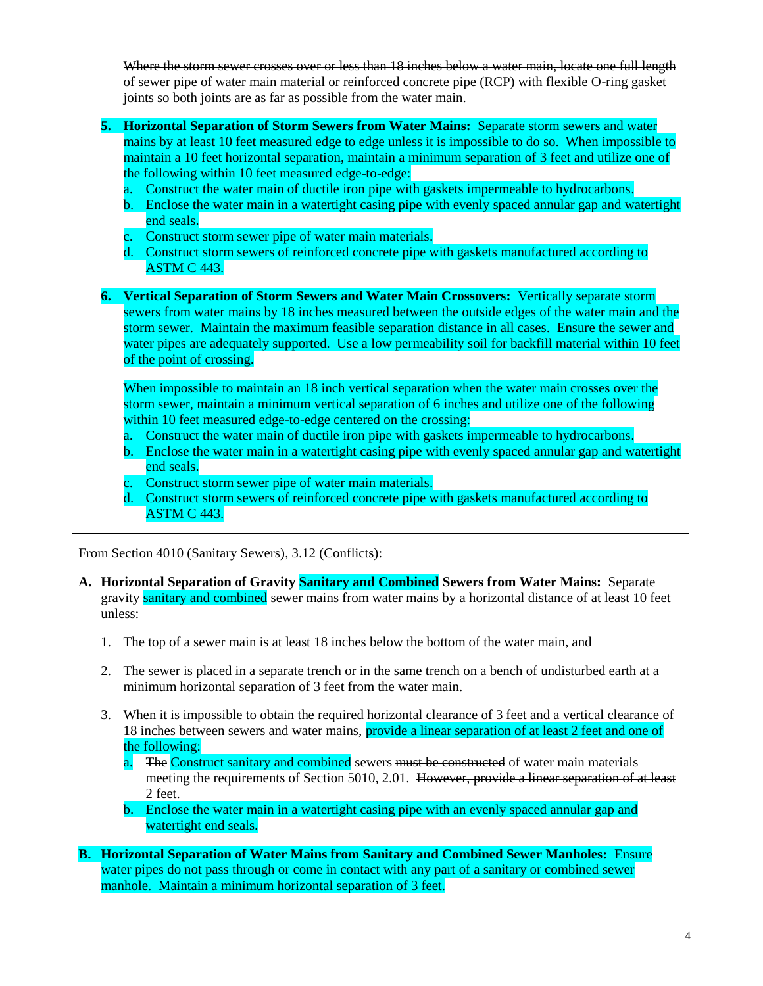Where the storm sewer crosses over or less than 18 inches below a water main, locate one full length of sewer pipe of water main material or reinforced concrete pipe (RCP) with flexible O-ring gasket joints so both joints are as far as possible from the water main.

- **5. Horizontal Separation of Storm Sewers from Water Mains:** Separate storm sewers and water mains by at least 10 feet measured edge to edge unless it is impossible to do so. When impossible to maintain a 10 feet horizontal separation, maintain a minimum separation of 3 feet and utilize one of the following within 10 feet measured edge-to-edge:
	- a. Construct the water main of ductile iron pipe with gaskets impermeable to hydrocarbons.
	- b. Enclose the water main in a watertight casing pipe with evenly spaced annular gap and watertight end seals.
	- c. Construct storm sewer pipe of water main materials.
	- d. Construct storm sewers of reinforced concrete pipe with gaskets manufactured according to ASTM C 443.
- **6. Vertical Separation of Storm Sewers and Water Main Crossovers:** Vertically separate storm sewers from water mains by 18 inches measured between the outside edges of the water main and the storm sewer. Maintain the maximum feasible separation distance in all cases. Ensure the sewer and water pipes are adequately supported. Use a low permeability soil for backfill material within 10 feet of the point of crossing.

When impossible to maintain an 18 inch vertical separation when the water main crosses over the storm sewer, maintain a minimum vertical separation of 6 inches and utilize one of the following within 10 feet measured edge-to-edge centered on the crossing:

- a. Construct the water main of ductile iron pipe with gaskets impermeable to hydrocarbons.
- b. Enclose the water main in a watertight casing pipe with evenly spaced annular gap and watertight end seals.
- c. Construct storm sewer pipe of water main materials.
- d. Construct storm sewers of reinforced concrete pipe with gaskets manufactured according to ASTM C 443.

From Section 4010 (Sanitary Sewers), 3.12 (Conflicts):

- **A. Horizontal Separation of Gravity Sanitary and Combined Sewers from Water Mains:** Separate gravity sanitary and combined sewer mains from water mains by a horizontal distance of at least 10 feet unless:
	- 1. The top of a sewer main is at least 18 inches below the bottom of the water main, and
	- 2. The sewer is placed in a separate trench or in the same trench on a bench of undisturbed earth at a minimum horizontal separation of 3 feet from the water main.
	- 3. When it is impossible to obtain the required horizontal clearance of 3 feet and a vertical clearance of 18 inches between sewers and water mains, provide a linear separation of at least 2 feet and one of the following:
		- a. The Construct sanitary and combined sewers must be constructed of water main materials meeting the requirements of Section 5010, 2.01. However, provide a linear separation of at least 2 feet.
		- b. Enclose the water main in a watertight casing pipe with an evenly spaced annular gap and watertight end seals.
- **B. Horizontal Separation of Water Mains from Sanitary and Combined Sewer Manholes:** Ensure water pipes do not pass through or come in contact with any part of a sanitary or combined sewer manhole. Maintain a minimum horizontal separation of 3 feet.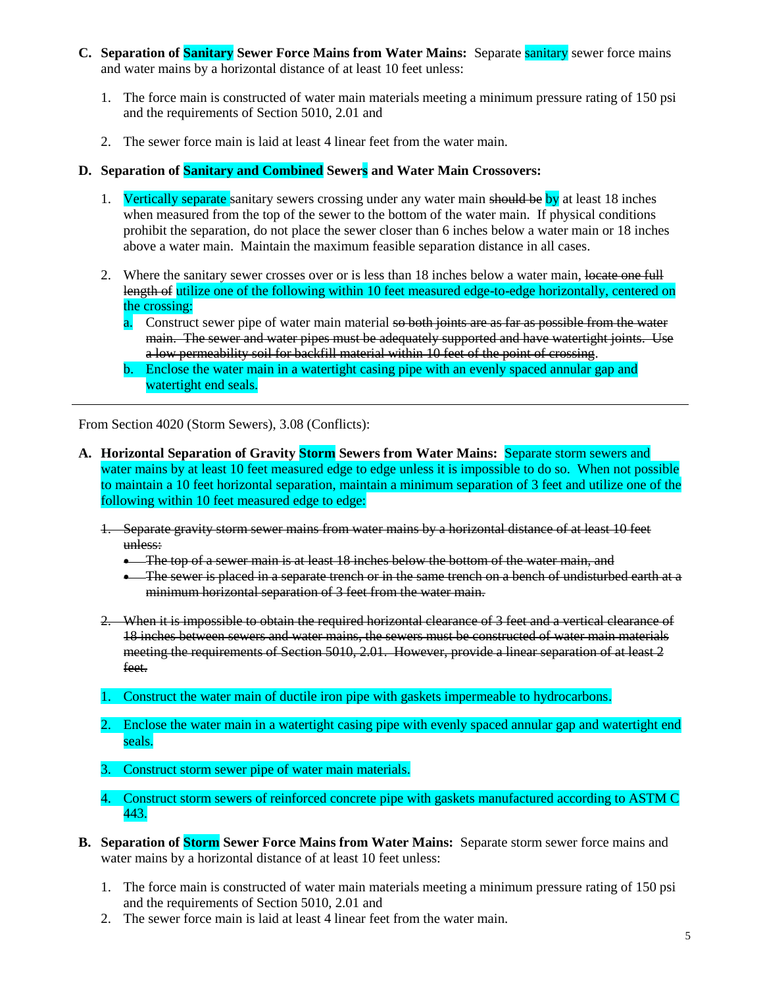- **C. Separation of Sanitary Sewer Force Mains from Water Mains:** Separate sanitary sewer force mains and water mains by a horizontal distance of at least 10 feet unless:
	- 1. The force main is constructed of water main materials meeting a minimum pressure rating of 150 psi and the requirements of Section 5010, 2.01 and
	- 2. The sewer force main is laid at least 4 linear feet from the water main.

# **D. Separation of Sanitary and Combined Sewers and Water Main Crossovers:**

- 1. Vertically separate sanitary sewers crossing under any water main should be by at least 18 inches when measured from the top of the sewer to the bottom of the water main. If physical conditions prohibit the separation, do not place the sewer closer than 6 inches below a water main or 18 inches above a water main. Maintain the maximum feasible separation distance in all cases.
- 2. Where the sanitary sewer crosses over or is less than 18 inches below a water main, locate one full length of utilize one of the following within 10 feet measured edge-to-edge horizontally, centered on the crossing:
	- a. Construct sewer pipe of water main material so both joints are as far as possible from the water main. The sewer and water pipes must be adequately supported and have watertight joints. Use a low permeability soil for backfill material within 10 feet of the point of crossing.
	- b. Enclose the water main in a watertight casing pipe with an evenly spaced annular gap and watertight end seals.

From Section 4020 (Storm Sewers), 3.08 (Conflicts):

- **A. Horizontal Separation of Gravity Storm Sewers from Water Mains:** Separate storm sewers and water mains by at least 10 feet measured edge to edge unless it is impossible to do so. When not possible to maintain a 10 feet horizontal separation, maintain a minimum separation of 3 feet and utilize one of the following within 10 feet measured edge to edge:
	- 1. Separate gravity storm sewer mains from water mains by a horizontal distance of at least 10 feet unless:
		- The top of a sewer main is at least 18 inches below the bottom of the water main, and
		- The sewer is placed in a separate trench or in the same trench on a bench of undisturbed earth at a minimum horizontal separation of 3 feet from the water main.
	- 2. When it is impossible to obtain the required horizontal clearance of 3 feet and a vertical clearance of 18 inches between sewers and water mains, the sewers must be constructed of water main materials meeting the requirements of Section 5010, 2.01. However, provide a linear separation of at least 2 feet.
	- 1. Construct the water main of ductile iron pipe with gaskets impermeable to hydrocarbons.
	- 2. Enclose the water main in a watertight casing pipe with evenly spaced annular gap and watertight end seals.
	- 3. Construct storm sewer pipe of water main materials.
	- 4. Construct storm sewers of reinforced concrete pipe with gaskets manufactured according to ASTM C 443.
- **B. Separation of Storm Sewer Force Mains from Water Mains:** Separate storm sewer force mains and water mains by a horizontal distance of at least 10 feet unless:
	- 1. The force main is constructed of water main materials meeting a minimum pressure rating of 150 psi and the requirements of Section 5010, 2.01 and
	- 2. The sewer force main is laid at least 4 linear feet from the water main.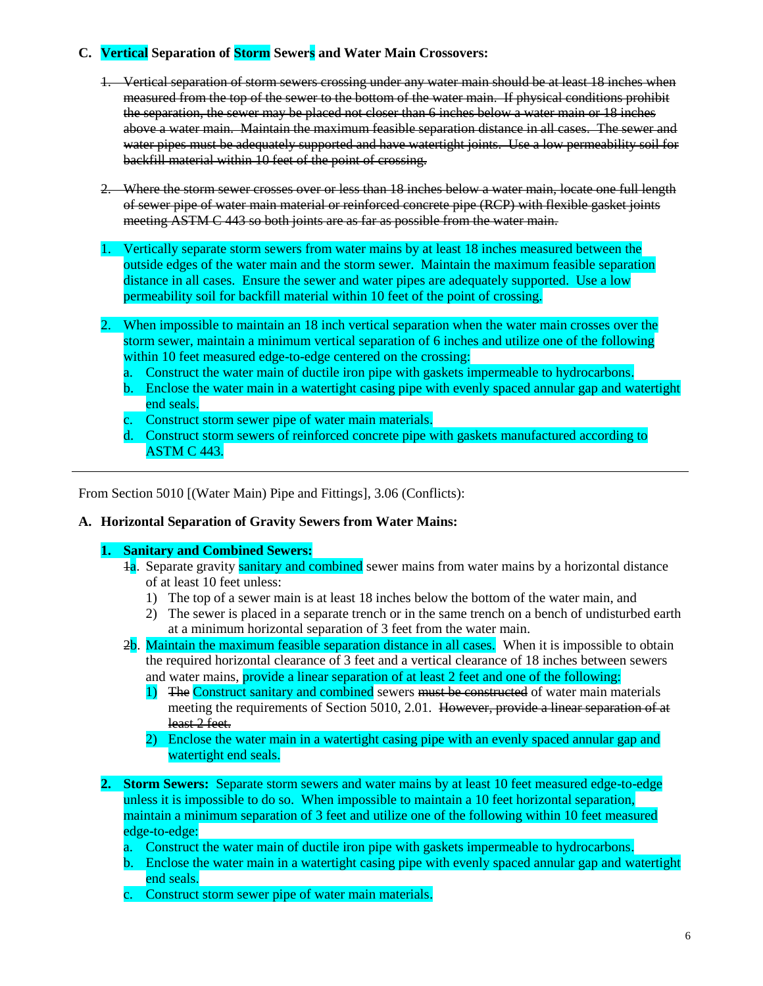# **C. Vertical Separation of Storm Sewers and Water Main Crossovers:**

- 1. Vertical separation of storm sewers crossing under any water main should be at least 18 inches when measured from the top of the sewer to the bottom of the water main. If physical conditions prohibit the separation, the sewer may be placed not closer than 6 inches below a water main or 18 inches above a water main. Maintain the maximum feasible separation distance in all cases. The sewer and water pipes must be adequately supported and have watertight joints. Use a low permeability soil for backfill material within 10 feet of the point of crossing.
- 2. Where the storm sewer crosses over or less than 18 inches below a water main, locate one full length of sewer pipe of water main material or reinforced concrete pipe (RCP) with flexible gasket joints meeting ASTM C 443 so both joints are as far as possible from the water main.
- 1. Vertically separate storm sewers from water mains by at least 18 inches measured between the outside edges of the water main and the storm sewer. Maintain the maximum feasible separation distance in all cases. Ensure the sewer and water pipes are adequately supported. Use a low permeability soil for backfill material within 10 feet of the point of crossing.
- 2. When impossible to maintain an 18 inch vertical separation when the water main crosses over the storm sewer, maintain a minimum vertical separation of 6 inches and utilize one of the following within 10 feet measured edge-to-edge centered on the crossing:
	- a. Construct the water main of ductile iron pipe with gaskets impermeable to hydrocarbons.
	- b. Enclose the water main in a watertight casing pipe with evenly spaced annular gap and watertight end seals.
	- c. Construct storm sewer pipe of water main materials.
	- d. Construct storm sewers of reinforced concrete pipe with gaskets manufactured according to ASTM C 443.

From Section 5010 [(Water Main) Pipe and Fittings], 3.06 (Conflicts):

### **A. Horizontal Separation of Gravity Sewers from Water Mains:**

### **1. Sanitary and Combined Sewers:**

- <sup>1</sup>a. Separate gravity sanitary and combined sewer mains from water mains by a horizontal distance of at least 10 feet unless:
	- 1) The top of a sewer main is at least 18 inches below the bottom of the water main, and
	- 2) The sewer is placed in a separate trench or in the same trench on a bench of undisturbed earth at a minimum horizontal separation of 3 feet from the water main.
- 2b. Maintain the maximum feasible separation distance in all cases. When it is impossible to obtain the required horizontal clearance of 3 feet and a vertical clearance of 18 inches between sewers and water mains, provide a linear separation of at least 2 feet and one of the following:
	- 1) The Construct sanitary and combined sewers must be constructed of water main materials meeting the requirements of Section 5010, 2.01. However, provide a linear separation of at least 2 feet.
	- 2) Enclose the water main in a watertight casing pipe with an evenly spaced annular gap and watertight end seals.
- **2. Storm Sewers:** Separate storm sewers and water mains by at least 10 feet measured edge-to-edge unless it is impossible to do so. When impossible to maintain a 10 feet horizontal separation, maintain a minimum separation of 3 feet and utilize one of the following within 10 feet measured edge-to-edge:
	- a. Construct the water main of ductile iron pipe with gaskets impermeable to hydrocarbons.
	- b. Enclose the water main in a watertight casing pipe with evenly spaced annular gap and watertight end seals.
	- c. Construct storm sewer pipe of water main materials.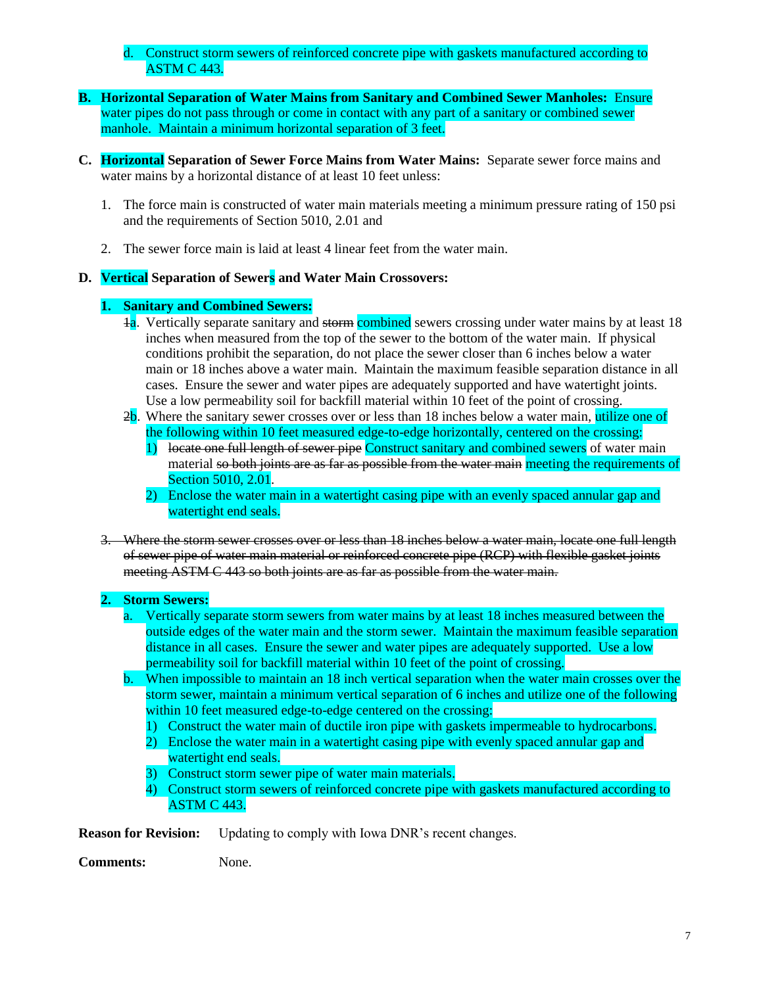- d. Construct storm sewers of reinforced concrete pipe with gaskets manufactured according to ASTM C 443.
- **B. Horizontal Separation of Water Mains from Sanitary and Combined Sewer Manholes:** Ensure water pipes do not pass through or come in contact with any part of a sanitary or combined sewer manhole. Maintain a minimum horizontal separation of 3 feet.
- **C. Horizontal Separation of Sewer Force Mains from Water Mains:** Separate sewer force mains and water mains by a horizontal distance of at least 10 feet unless:
	- 1. The force main is constructed of water main materials meeting a minimum pressure rating of 150 psi and the requirements of Section 5010, 2.01 and
	- 2. The sewer force main is laid at least 4 linear feet from the water main.

### **D. Vertical Separation of Sewers and Water Main Crossovers:**

### **1. Sanitary and Combined Sewers:**

- $\frac{1}{a}$ . Vertically separate sanitary and storm combined sewers crossing under water mains by at least 18 inches when measured from the top of the sewer to the bottom of the water main. If physical conditions prohibit the separation, do not place the sewer closer than 6 inches below a water main or 18 inches above a water main. Maintain the maximum feasible separation distance in all cases. Ensure the sewer and water pipes are adequately supported and have watertight joints. Use a low permeability soil for backfill material within 10 feet of the point of crossing.
- 2b. Where the sanitary sewer crosses over or less than 18 inches below a water main, utilize one of the following within 10 feet measured edge-to-edge horizontally, centered on the crossing:
	- 1) locate one full length of sewer pipe Construct sanitary and combined sewers of water main material so both joints are as far as possible from the water main meeting the requirements of Section 5010, 2.01.
	- 2) Enclose the water main in a watertight casing pipe with an evenly spaced annular gap and watertight end seals.
- 3. Where the storm sewer crosses over or less than 18 inches below a water main, locate one full length of sewer pipe of water main material or reinforced concrete pipe (RCP) with flexible gasket joints meeting ASTM C 443 so both joints are as far as possible from the water main.

### **2. Storm Sewers:**

- a. Vertically separate storm sewers from water mains by at least 18 inches measured between the outside edges of the water main and the storm sewer. Maintain the maximum feasible separation distance in all cases. Ensure the sewer and water pipes are adequately supported. Use a low permeability soil for backfill material within 10 feet of the point of crossing.
- b. When impossible to maintain an 18 inch vertical separation when the water main crosses over the storm sewer, maintain a minimum vertical separation of 6 inches and utilize one of the following within 10 feet measured edge-to-edge centered on the crossing:
	- 1) Construct the water main of ductile iron pipe with gaskets impermeable to hydrocarbons.
	- 2) Enclose the water main in a watertight casing pipe with evenly spaced annular gap and watertight end seals.
	- 3) Construct storm sewer pipe of water main materials.
	- 4) Construct storm sewers of reinforced concrete pipe with gaskets manufactured according to ASTM C 443.

**Reason for Revision:** Updating to comply with Iowa DNR's recent changes.

**Comments:** None.